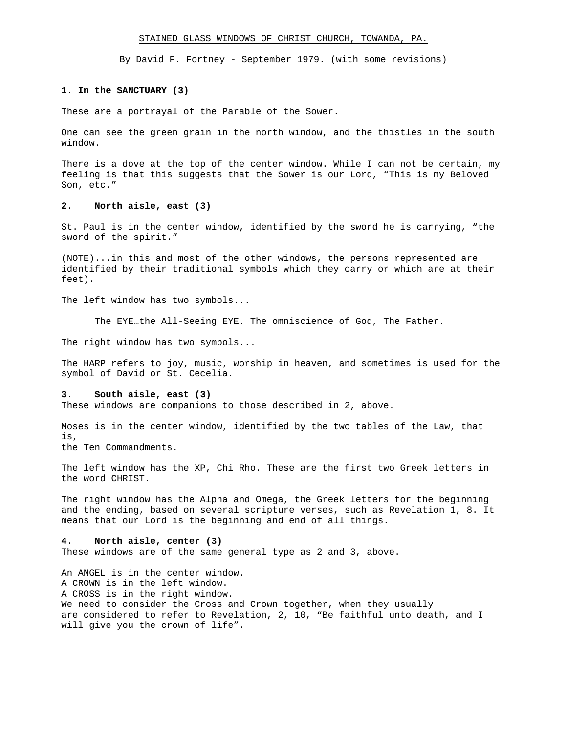#### STAINED GLASS WINDOWS OF CHRIST CHURCH, TOWANDA, PA.

By David F. Fortney - September 1979. (with some revisions)

### **1. In the SANCTUARY (3)**

These are a portrayal of the Parable of the Sower.

One can see the green grain in the north window, and the thistles in the south window.

There is a dove at the top of the center window. While I can not be certain, my feeling is that this suggests that the Sower is our Lord, "This is my Beloved Son, etc."

# **2. North aisle, east (3)**

St. Paul is in the center window, identified by the sword he is carrying, "the sword of the spirit."

(NOTE)...in this and most of the other windows, the persons represented are identified by their traditional symbols which they carry or which are at their feet).

The left window has two symbols...

The EYE…the All-Seeing EYE. The omniscience of God, The Father.

The right window has two symbols...

The HARP refers to joy, music, worship in heaven, and sometimes is used for the symbol of David or St. Cecelia.

## **3. South aisle, east (3)**

These windows are companions to those described in 2, above.

Moses is in the center window, identified by the two tables of the Law, that is, the Ten Commandments.

The left window has the XP, Chi Rho. These are the first two Greek letters in the word CHRIST.

The right window has the Alpha and Omega, the Greek letters for the beginning and the ending, based on several scripture verses, such as Revelation 1, 8. It means that our Lord is the beginning and end of all things.

### **4. North aisle, center (3)**

These windows are of the same general type as 2 and 3, above.

An ANGEL is in the center window. A CROWN is in the left window. A CROSS is in the right window. We need to consider the Cross and Crown together, when they usually are considered to refer to Revelation, 2, 10, "Be faithful unto death, and I will give you the crown of life".